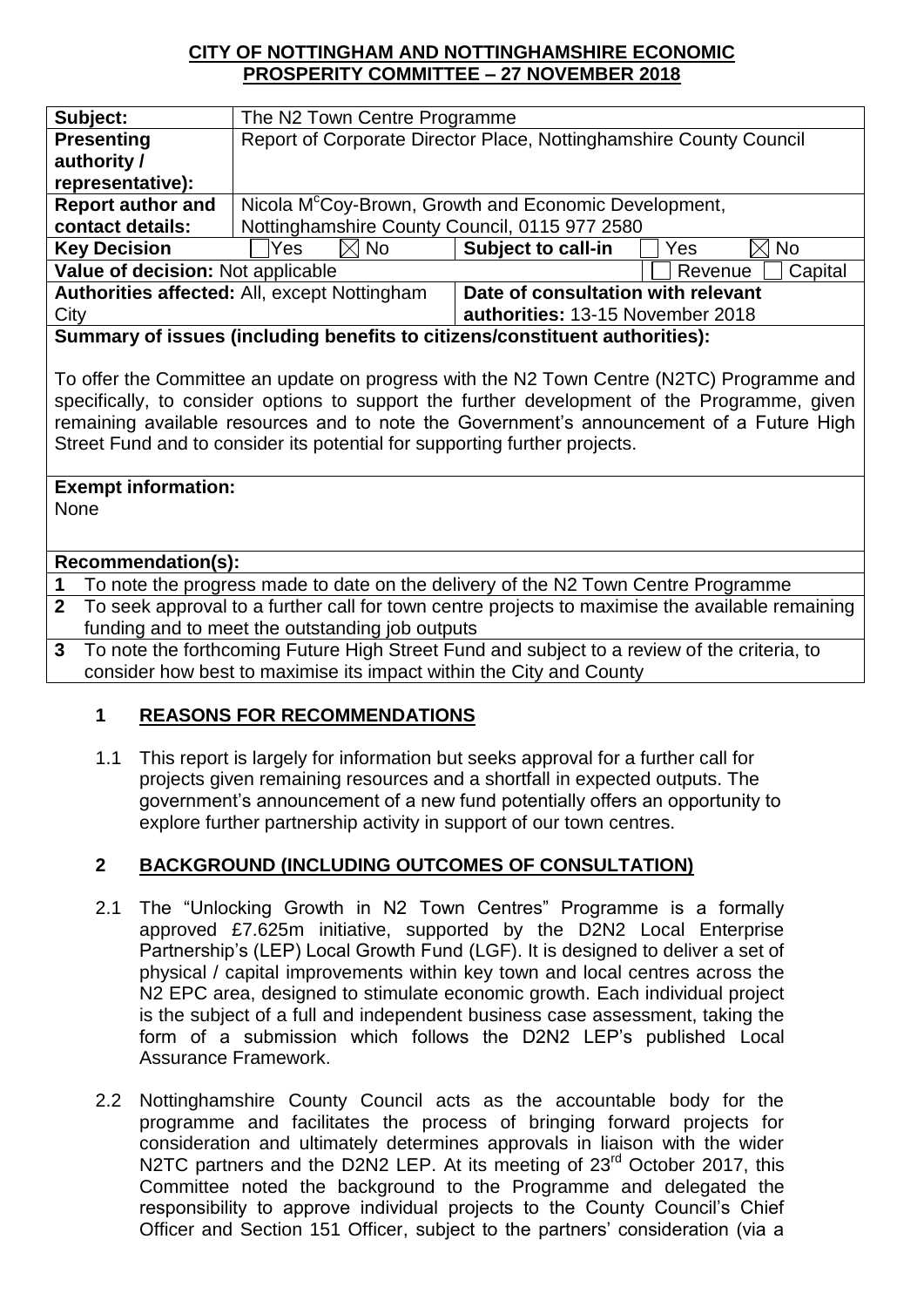### **CITY OF NOTTINGHAM AND NOTTINGHAMSHIRE ECONOMIC PROSPERITY COMMITTEE – 27 NOVEMBER 2018**

| Subject:                                                                                                                                                                                                                                                                              | The N2 Town Centre Programme                                       |                                    |                    |  |
|---------------------------------------------------------------------------------------------------------------------------------------------------------------------------------------------------------------------------------------------------------------------------------------|--------------------------------------------------------------------|------------------------------------|--------------------|--|
| <b>Presenting</b>                                                                                                                                                                                                                                                                     | Report of Corporate Director Place, Nottinghamshire County Council |                                    |                    |  |
| authority /                                                                                                                                                                                                                                                                           |                                                                    |                                    |                    |  |
| representative):                                                                                                                                                                                                                                                                      |                                                                    |                                    |                    |  |
| <b>Report author and</b>                                                                                                                                                                                                                                                              | Nicola M <sup>c</sup> Coy-Brown, Growth and Economic Development,  |                                    |                    |  |
| contact details:                                                                                                                                                                                                                                                                      | Nottinghamshire County Council, 0115 977 2580                      |                                    |                    |  |
| <b>Key Decision</b>                                                                                                                                                                                                                                                                   | Yes<br><b>No</b><br>ΙXΙ                                            | Subject to call-in                 | <b>No</b><br>Yes   |  |
| Value of decision: Not applicable                                                                                                                                                                                                                                                     |                                                                    |                                    | Capital<br>Revenue |  |
| Authorities affected: All, except Nottingham                                                                                                                                                                                                                                          |                                                                    | Date of consultation with relevant |                    |  |
| City                                                                                                                                                                                                                                                                                  |                                                                    | authorities: 13-15 November 2018   |                    |  |
| Summary of issues (including benefits to citizens/constituent authorities):                                                                                                                                                                                                           |                                                                    |                                    |                    |  |
|                                                                                                                                                                                                                                                                                       |                                                                    |                                    |                    |  |
| To offer the Committee an update on progress with the N2 Town Centre (N2TC) Programme and<br>specifically, to consider options to support the further development of the Programme, given<br>remaining available resources and to note the Government's announcement of a Future High |                                                                    |                                    |                    |  |
|                                                                                                                                                                                                                                                                                       |                                                                    |                                    |                    |  |

**Exempt information:** 

None

### **Recommendation(s):**

**1** To note the progress made to date on the delivery of the N2 Town Centre Programme

Street Fund and to consider its potential for supporting further projects.

**2** To seek approval to a further call for town centre projects to maximise the available remaining funding and to meet the outstanding job outputs

**3** To note the forthcoming Future High Street Fund and subject to a review of the criteria, to consider how best to maximise its impact within the City and County

# **1 REASONS FOR RECOMMENDATIONS**

1.1 This report is largely for information but seeks approval for a further call for projects given remaining resources and a shortfall in expected outputs. The government's announcement of a new fund potentially offers an opportunity to explore further partnership activity in support of our town centres.

# **2 BACKGROUND (INCLUDING OUTCOMES OF CONSULTATION)**

- 2.1 The "Unlocking Growth in N2 Town Centres" Programme is a formally approved £7.625m initiative, supported by the D2N2 Local Enterprise Partnership's (LEP) Local Growth Fund (LGF). It is designed to deliver a set of physical / capital improvements within key town and local centres across the N<sub>2</sub> EPC area, designed to stimulate economic growth. Each individual project is the subject of a full and independent business case assessment, taking the form of a submission which follows the D2N2 LEP's published Local Assurance Framework.
- 2.2 Nottinghamshire County Council acts as the accountable body for the programme and facilitates the process of bringing forward projects for consideration and ultimately determines approvals in liaison with the wider N2TC partners and the D2N2 LEP. At its meeting of 23<sup>rd</sup> October 2017, this Committee noted the background to the Programme and delegated the responsibility to approve individual projects to the County Council's Chief Officer and Section 151 Officer, subject to the partners' consideration (via a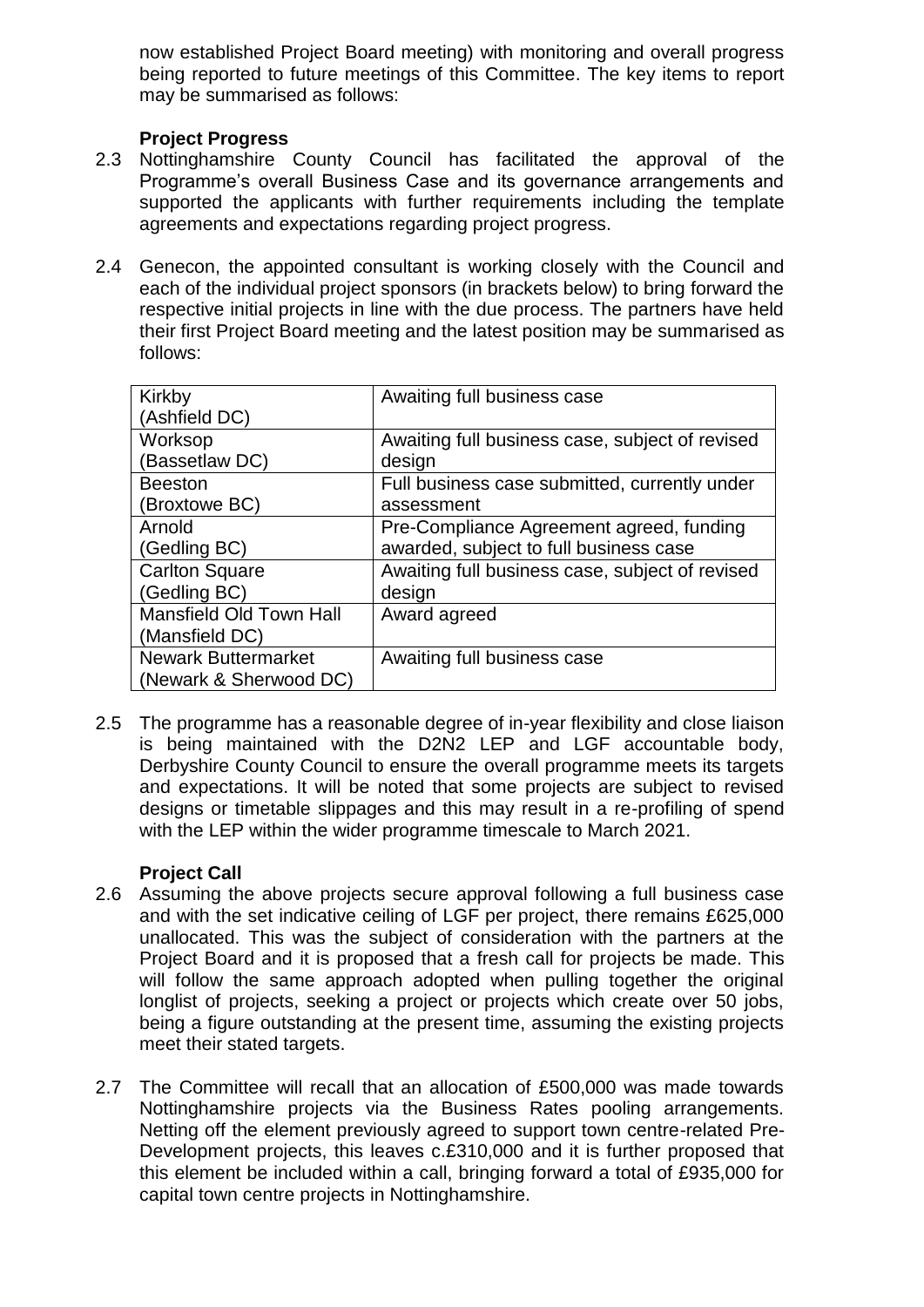now established Project Board meeting) with monitoring and overall progress being reported to future meetings of this Committee. The key items to report may be summarised as follows:

### **Project Progress**

- 2.3 Nottinghamshire County Council has facilitated the approval of the Programme's overall Business Case and its governance arrangements and supported the applicants with further requirements including the template agreements and expectations regarding project progress.
- 2.4 Genecon, the appointed consultant is working closely with the Council and each of the individual project sponsors (in brackets below) to bring forward the respective initial projects in line with the due process. The partners have held their first Project Board meeting and the latest position may be summarised as follows:

| Kirkby                         | Awaiting full business case                     |  |
|--------------------------------|-------------------------------------------------|--|
| (Ashfield DC)                  |                                                 |  |
| Worksop                        | Awaiting full business case, subject of revised |  |
| (Bassetlaw DC)                 | design                                          |  |
| <b>Beeston</b>                 | Full business case submitted, currently under   |  |
| (Broxtowe BC)                  | assessment                                      |  |
| Arnold                         | Pre-Compliance Agreement agreed, funding        |  |
| (Gedling BC)                   | awarded, subject to full business case          |  |
| <b>Carlton Square</b>          | Awaiting full business case, subject of revised |  |
| (Gedling BC)                   | design                                          |  |
| <b>Mansfield Old Town Hall</b> | Award agreed                                    |  |
| (Mansfield DC)                 |                                                 |  |
| <b>Newark Buttermarket</b>     | Awaiting full business case                     |  |
| (Newark & Sherwood DC)         |                                                 |  |

2.5 The programme has a reasonable degree of in-year flexibility and close liaison is being maintained with the D2N2 LEP and LGF accountable body, Derbyshire County Council to ensure the overall programme meets its targets and expectations. It will be noted that some projects are subject to revised designs or timetable slippages and this may result in a re-profiling of spend with the LEP within the wider programme timescale to March 2021.

#### **Project Call**

- 2.6 Assuming the above projects secure approval following a full business case and with the set indicative ceiling of LGF per project, there remains £625,000 unallocated. This was the subject of consideration with the partners at the Project Board and it is proposed that a fresh call for projects be made. This will follow the same approach adopted when pulling together the original longlist of projects, seeking a project or projects which create over 50 jobs, being a figure outstanding at the present time, assuming the existing projects meet their stated targets.
- 2.7 The Committee will recall that an allocation of £500,000 was made towards Nottinghamshire projects via the Business Rates pooling arrangements. Netting off the element previously agreed to support town centre-related Pre-Development projects, this leaves c.£310,000 and it is further proposed that this element be included within a call, bringing forward a total of £935,000 for capital town centre projects in Nottinghamshire.